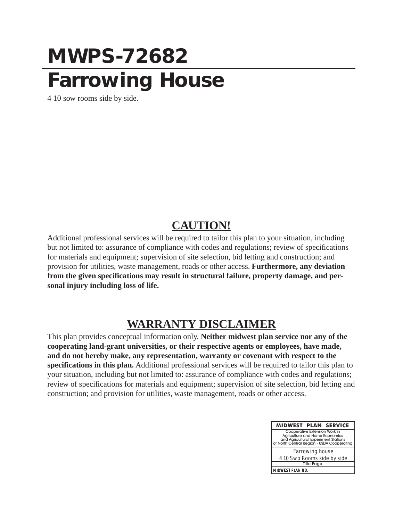## **MWPS-72682 Farrowing House**

4 10 sow rooms side by side.

#### **CAUTION!**

Additional professional services will be required to tailor this plan to your situation, including but not limited to: assurance of compliance with codes and regulations; review of specifications for materials and equipment; supervision of site selection, bid letting and construction; and provision for utilities, waste management, roads or other access. **Furthermore, any deviation from the given specifications may result in structural failure, property damage, and personal injury including loss of life.**

### **WARRANTY DISCLAIMER**

This plan provides conceptual information only. **Neither midwest plan service nor any of the cooperating land-grant universities, or their respective agents or employees, have made, and do not hereby make, any representation, warranty or covenant with respect to the specifications in this plan.** Additional professional services will be required to tailor this plan to your situation, including but not limited to: assurance of compliance with codes and regulations; review of specifications for materials and equipment; supervision of site selection, bid letting and construction; and provision for utilities, waste management, roads or other access.

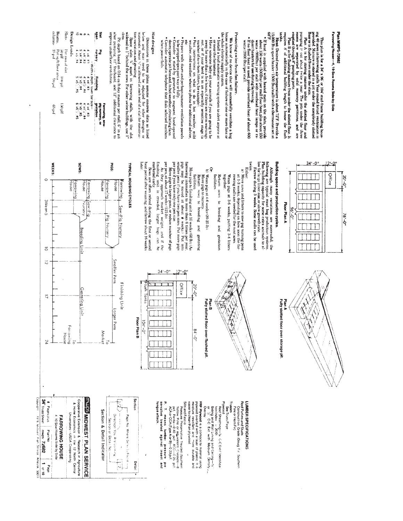Plan  $\lambda$  is for storing manure under the abstrad foor and pumps are separated by solid masonry partitions. and are empeded to the state of the state of the solid masonry partitions. and are empeded by solid masonry parti  $\vec{a}$ **UNDER** inks Fit depth based on 0.54 cu ft day manure per stall,  $6^\circ$  in pit aler pumping,  $12^\circ$  freeboard, and  $12^\circ$  additional clearance to stots Space slats  $w_i$  apart in farrowing stalls, with the slot widened to I' behind the sws. For other swine buildings, use I' tion variation and grouting  $\sum_{i=1}^{N}$  apart Dimensions in these plans assume concrete slats as listed below and may need to be adjusted for other designs or materness About  $v_i$  is allowed at each end of a slat for construction materials. Slat designs This plan is for a  $34'$  x 86 or 104 stud-frame building hous-<br>ing the study and is study in a pit under the completely slotted properties of the study of the study of the study of the study of the study of the study of t improve underfloor ventilation We know of no device that will successfully ventifate a hogen and interesting in the case of failure of one or more fans or house and matrically in the case of failure of one or more fans or the whole electric supply system.<br>• Install a loud automatic warning system to alert anyone a **Heat:** Desired room air temperature is about  $72^{\circ}$ . Provide a  $15000$  Btu space heater (1500 Btu/stall) with a thermostat set at Protecting swine from fan failure. Color propped open part way or fully<br>that the state of the state of the state of the state of the state of<br>doors, operate pit fans and, in hot weather, circulating fans.<br> $\Phi_{\rm O/N}$  is a uniquatic telephone that dials sele **•** Have someone baby-sit your animals if you are going to be **a** lave someone baby-sit your minals if you are going to be out, or if your herd is in an especially sensitive stage ta point of revelopm it terest for exampl  $\bullet$  If heat is supplied with heated mats on the slats, provide wat for the slats, provide water (900Btu) per stall with overhead heat lamps or  $r_{\rm s}$  of the form heat is the state of the mediant particle of the state o . Prepare walk doors and perhaps summer ventilation panels when power fails. χą watts (2000 Btu yper stall or near the farmstead  $\begin{array}{l} 4 \times 14 \times 14 \\ 4 \times 14 \\ 5 \times 14 \\ 6 \times 15 \\ 4 \times 15 \\ 4 \times 15 \\ 4 \times 15 \\ 144 \\ 144 \\ \end{array}$ **Massinu**  $x^2 + W(x)dx$  by  $x^2 + x^2 = 3$ <br>  $x^2 + x^2 + x^2 = 3$ <br>  $x^2 + x^2 + x^2 = 3$ <br>  $x^2 + x^2 = x^2 - x^2 = 5$ <br>  $x^2 + x^2 = 5$ <br>  $x^2 + x^2 = 5$ <br>  $x^2 + x^2 = 5$ **Finlshing** g Farrowing, sow-<br>plg nursery, or<br>gestation 3# 58.3<br>9.19 30<br>4.19 30<br>9.19 30 31





 $\cdot$ 

Farrowing House-4, 10-Sow Rooms Side-by-Side

Plan MWPS-72682









Slats

Design Loads

columns Beams.

Per iout of slat<br>50 pH<br>50 pH<br>- 35 p4<br>- 35 p4

 $\mathop{\rm Id}\nolimits$  og i

 $65\,\mathrm{psf}$ 

**WEEKS:** 

House

Bul MOJID

 $\circ$ 

3Wean 5

 $\overline{\circ}$ 

 $\overline{c}$ 

 $\overline{\mathbb{Q}}$ 

ÞΖ

CODYright

1978 Midwest Flan Service

Ames IA 50011

Farrowing

 $\overline{a}$ 

House

ï

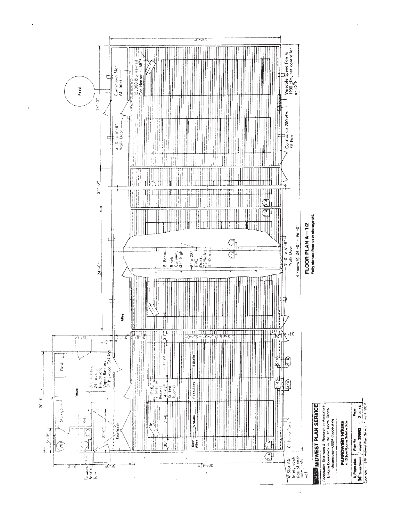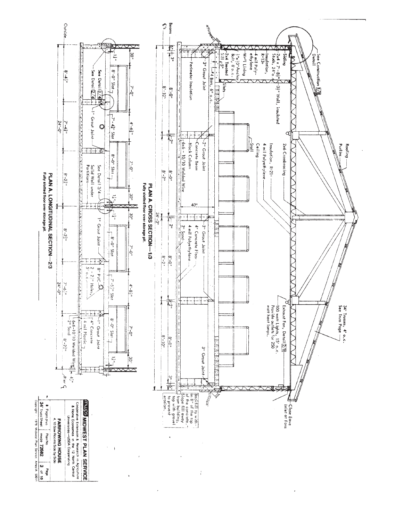

 $\ddot{i}$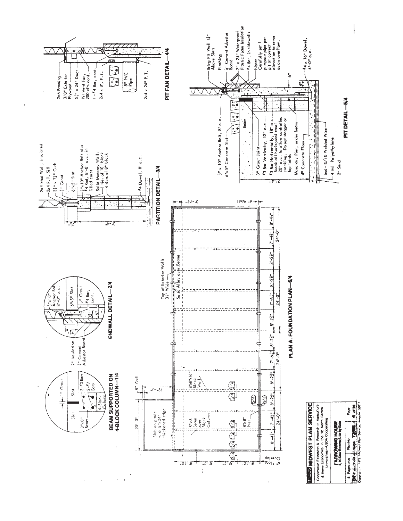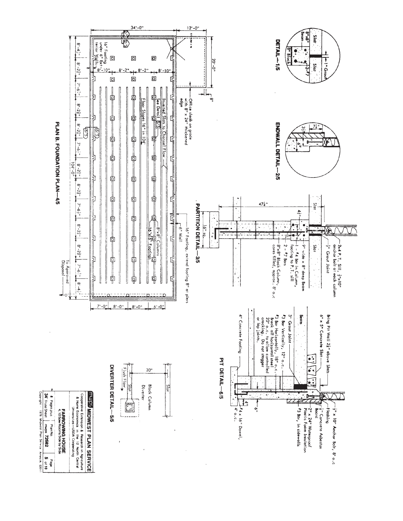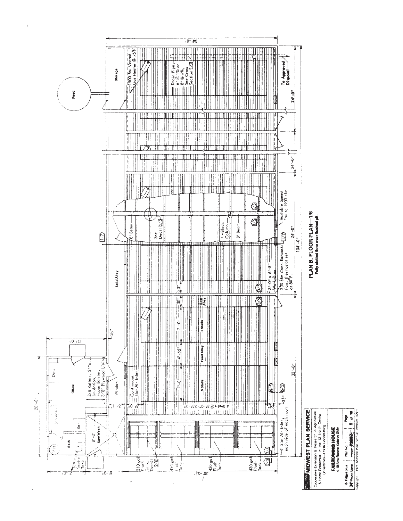

 $\overline{1}$ 

Cooperative Extension & Research in Agriculture<br>& Home Economics in the 12 North Central<br>Universities-USDA Cooperating

# **FARIEOWING HOUSE**

, 8 Pagespies Pranko<br>1347° aves Sterel muos-772044222−1 6 of 111<br>Coordination 1998 Monester Particular Messik S0011

PLAN B. FLOOR PLAN-1/6 Fully slotted floor over flushed pit.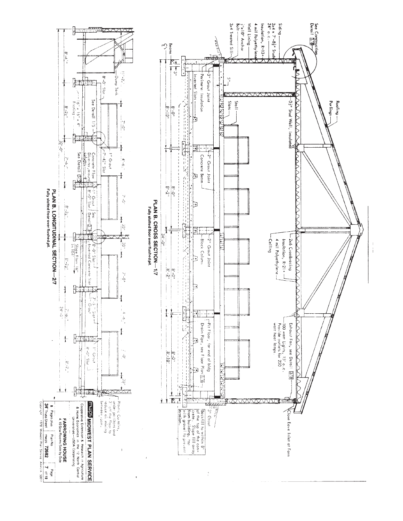